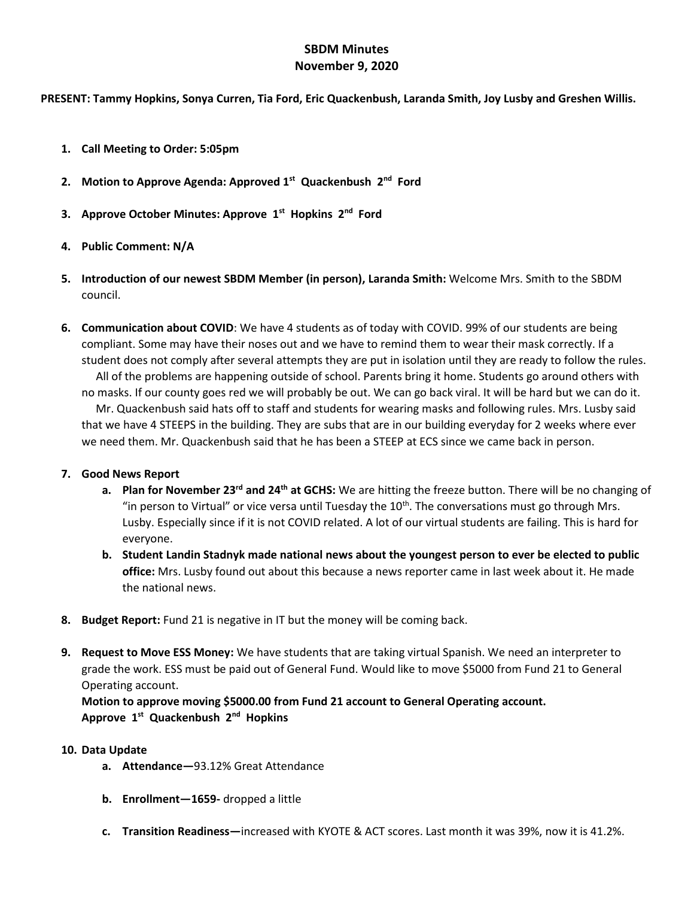## **SBDM Minutes November 9, 2020**

**PRESENT: Tammy Hopkins, Sonya Curren, Tia Ford, Eric Quackenbush, Laranda Smith, Joy Lusby and Greshen Willis.**

- **1. Call Meeting to Order: 5:05pm**
- **2. Motion to Approve Agenda: Approved 1st Quackenbush 2nd Ford**
- **3. Approve October Minutes: Approve 1st Hopkins 2nd Ford**
- **4. Public Comment: N/A**
- **5. Introduction of our newest SBDM Member (in person), Laranda Smith:** Welcome Mrs. Smith to the SBDM council.
- **6. Communication about COVID**: We have 4 students as of today with COVID. 99% of our students are being compliant. Some may have their noses out and we have to remind them to wear their mask correctly. If a student does not comply after several attempts they are put in isolation until they are ready to follow the rules. All of the problems are happening outside of school. Parents bring it home. Students go around others with no masks. If our county goes red we will probably be out. We can go back viral. It will be hard but we can do it. Mr. Quackenbush said hats off to staff and students for wearing masks and following rules. Mrs. Lusby said that we have 4 STEEPS in the building. They are subs that are in our building everyday for 2 weeks where ever we need them. Mr. Quackenbush said that he has been a STEEP at ECS since we came back in person.

## **7. Good News Report**

- **a. Plan for November 23rd and 24th at GCHS:** We are hitting the freeze button. There will be no changing of "in person to Virtual" or vice versa until Tuesday the  $10<sup>th</sup>$ . The conversations must go through Mrs. Lusby. Especially since if it is not COVID related. A lot of our virtual students are failing. This is hard for everyone.
- **b. Student Landin Stadnyk made national news about the youngest person to ever be elected to public office:** Mrs. Lusby found out about this because a news reporter came in last week about it. He made the national news.
- **8. Budget Report:** Fund 21 is negative in IT but the money will be coming back.
- **9. Request to Move ESS Money:** We have students that are taking virtual Spanish. We need an interpreter to grade the work. ESS must be paid out of General Fund. Would like to move \$5000 from Fund 21 to General Operating account.

**Motion to approve moving \$5000.00 from Fund 21 account to General Operating account. Approve 1st Quackenbush 2nd Hopkins**

- **10. Data Update**
	- **a. Attendance—**93.12% Great Attendance
	- **b. Enrollment—1659-** dropped a little
	- **c. Transition Readiness—**increased with KYOTE & ACT scores. Last month it was 39%, now it is 41.2%.